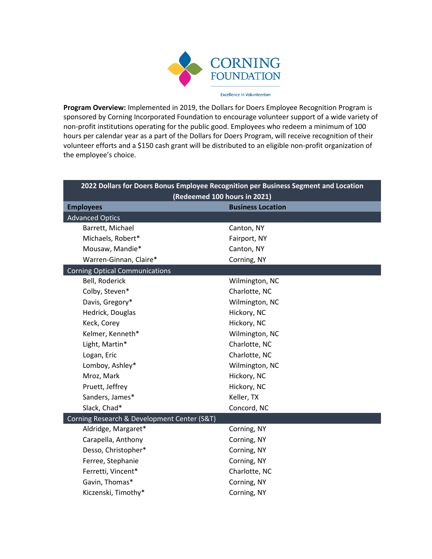

**Program Overview:** Implemented in 2019, the Dollars for Doers Employee Recognition Program is sponsored by Corning Incorporated Foundation to encourage volunteer support of a wide variety of non-profit institutions operating for the public good. Employees who redeem a minimum of 100 hours per calendar year as a part of the Dollars for Doers Program, will receive recognition of their volunteer efforts and a \$150 cash grant will be distributed to an eligible non-profit organization of the employee's choice.

| 2022 Dollars for Doers Bonus Employee Recognition per Business Segment and Location |                          |  |  |
|-------------------------------------------------------------------------------------|--------------------------|--|--|
| (Redeemed 100 hours in 2021)                                                        |                          |  |  |
| <b>Employees</b>                                                                    | <b>Business Location</b> |  |  |
| <b>Advanced Optics</b>                                                              |                          |  |  |
| Barrett, Michael                                                                    | Canton, NY               |  |  |
| Michaels, Robert*                                                                   | Fairport, NY             |  |  |
| Mousaw, Mandie*                                                                     | Canton, NY               |  |  |
| Warren-Ginnan, Claire*                                                              | Corning, NY              |  |  |
| <b>Corning Optical Communications</b>                                               |                          |  |  |
| Bell, Roderick                                                                      | Wilmington, NC           |  |  |
| Colby, Steven*                                                                      | Charlotte, NC            |  |  |
| Davis, Gregory*                                                                     | Wilmington, NC           |  |  |
| Hedrick, Douglas                                                                    | Hickory, NC              |  |  |
| Keck, Corey                                                                         | Hickory, NC              |  |  |
| Kelmer, Kenneth*                                                                    | Wilmington, NC           |  |  |
| Light, Martin*                                                                      | Charlotte, NC            |  |  |
| Logan, Eric                                                                         | Charlotte, NC            |  |  |
| Lomboy, Ashley*                                                                     | Wilmington, NC           |  |  |
| Mroz, Mark                                                                          | Hickory, NC              |  |  |
| Pruett, Jeffrey                                                                     | Hickory, NC              |  |  |
| Sanders, James*                                                                     | Keller, TX               |  |  |
| Slack, Chad*                                                                        | Concord, NC              |  |  |
| Corning Research & Development Center (S&T)                                         |                          |  |  |
| Aldridge, Margaret*                                                                 | Corning, NY              |  |  |
| Carapella, Anthony                                                                  | Corning, NY              |  |  |
| Desso, Christopher*                                                                 | Corning, NY              |  |  |
| Ferree, Stephanie                                                                   | Corning, NY              |  |  |
| Ferretti, Vincent*                                                                  | Charlotte, NC            |  |  |
| Gavin, Thomas*                                                                      | Corning, NY              |  |  |
| Kiczenski, Timothy*                                                                 | Corning, NY              |  |  |